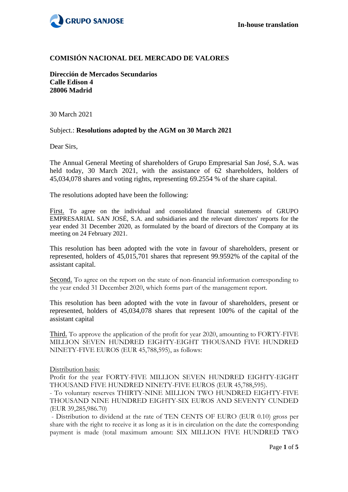

## **COMISIÓN NACIONAL DEL MERCADO DE VALORES**

**Dirección de Mercados Secundarios Calle Edison 4 28006 Madrid**

30 March 2021

## Subject.: **Resolutions adopted by the AGM on 30 March 2021**

Dear Sirs,

The Annual General Meeting of shareholders of Grupo Empresarial San José, S.A. was held today, 30 March 2021, with the assistance of 62 shareholders, holders of 45,034,078 shares and voting rights, representing 69.2554 % of the share capital.

The resolutions adopted have been the following:

First. To agree on the individual and consolidated financial statements of GRUPO EMPRESARIAL SAN JOSÉ, S.A. and subsidiaries and the relevant directors' reports for the year ended 31 December 2020, as formulated by the board of directors of the Company at its meeting on 24 February 2021.

This resolution has been adopted with the vote in favour of shareholders, present or represented, holders of 45,015,701 shares that represent 99.9592% of the capital of the assistant capital.

Second. To agree on the report on the state of non-financial information corresponding to the year ended 31 December 2020, which forms part of the management report.

This resolution has been adopted with the vote in favour of shareholders, present or represented, holders of 45,034,078 shares that represent 100% of the capital of the assistant capital

Third. To approve the application of the profit for year 2020, amounting to FORTY-FIVE MILLION SEVEN HUNDRED EIGHTY-EIGHT THOUSAND FIVE HUNDRED NINETY-FIVE EUROS (EUR 45,788,595), as follows:

Distribution basis:

Profit for the year FORTY-FIVE MILLION SEVEN HUNDRED EIGHTY-EIGHT THOUSAND FIVE HUNDRED NINETY-FIVE EUROS (EUR 45,788,595).

- To voluntary reserves THIRTY-NINE MILLION TWO HUNDRED EIGHTY-FIVE THOUSAND NINE HUNDRED EIGHTY-SIX EUROS AND SEVENTY CUNDED (EUR 39,285,986.70)

 - Distribution to dividend at the rate of TEN CENTS OF EURO (EUR 0.10) gross per share with the right to receive it as long as it is in circulation on the date the corresponding payment is made (total maximum amount: SIX MILLION FIVE HUNDRED TWO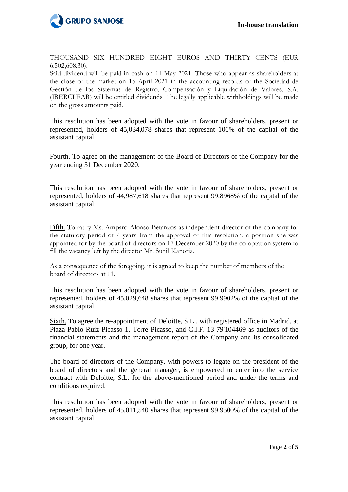

THOUSAND SIX HUNDRED EIGHT EUROS AND THIRTY CENTS (EUR 6,502,608.30).

Said dividend will be paid in cash on 11 May 2021. Those who appear as shareholders at the close of the market on 15 April 2021 in the accounting records of the Sociedad de Gestión de los Sistemas de Registro, Compensación y Liquidación de Valores, S.A. (IBERCLEAR) will be entitled dividends. The legally applicable withholdings will be made on the gross amounts paid.

This resolution has been adopted with the vote in favour of shareholders, present or represented, holders of 45,034,078 shares that represent 100% of the capital of the assistant capital.

Fourth. To agree on the management of the Board of Directors of the Company for the year ending 31 December 2020.

This resolution has been adopted with the vote in favour of shareholders, present or represented, holders of 44,987,618 shares that represent 99.8968% of the capital of the assistant capital.

Fifth. To ratify Ms. Amparo Alonso Betanzos as independent director of the company for the statutory period of 4 years from the approval of this resolution, a position she was appointed for by the board of directors on 17 December 2020 by the co-optation system to fill the vacancy left by the director Mr. Sunil Kanoria.

As a consequence of the foregoing, it is agreed to keep the number of members of the board of directors at 11.

This resolution has been adopted with the vote in favour of shareholders, present or represented, holders of 45,029,648 shares that represent 99.9902% of the capital of the assistant capital.

Sixth. To agree the re-appointment of Deloitte, S.L., with registered office in Madrid, at Plaza Pablo Ruiz Picasso 1, Torre Picasso, and C.I.F. 13-79'104469 as auditors of the financial statements and the management report of the Company and its consolidated group, for one year.

The board of directors of the Company, with powers to legate on the president of the board of directors and the general manager, is empowered to enter into the service contract with Deloitte, S.L. for the above-mentioned period and under the terms and conditions required.

This resolution has been adopted with the vote in favour of shareholders, present or represented, holders of 45,011,540 shares that represent 99.9500% of the capital of the assistant capital.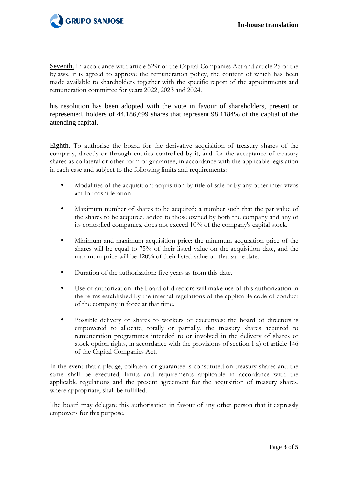

Seventh. In accordance with article 529r of the Capital Companies Act and article 25 of the bylaws, it is agreed to approve the remuneration policy, the content of which has been made available to shareholders together with the specific report of the appointments and remuneration committee for years 2022, 2023 and 2024.

his resolution has been adopted with the vote in favour of shareholders, present or represented, holders of 44,186,699 shares that represent 98.1184% of the capital of the attending capital.

Eighth. To authorise the board for the derivative acquisition of treasury shares of the company, directly or through entities controlled by it, and for the acceptance of treasury shares as collateral or other form of guarantee, in accordance with the applicable legislation in each case and subject to the following limits and requirements:

- Modalities of the acquisition: acquisition by title of sale or by any other inter vivos act for cosnideration.
- Maximum number of shares to be acquired: a number such that the par value of the shares to be acquired, added to those owned by both the company and any of its controlled companies, does not exceed 10% of the company's capital stock.
- Minimum and maximum acquisition price: the minimum acquisition price of the shares will be equal to 75% of their listed value on the acquisition date, and the maximum price will be 120% of their listed value on that same date.
- Duration of the authorisation: five years as from this date.
- Use of authorization: the board of directors will make use of this authorization in the terms established by the internal regulations of the applicable code of conduct of the company in force at that time.
- Possible delivery of shares to workers or executives: the board of directors is empowered to allocate, totally or partially, the treasury shares acquired to remuneration programmes intended to or involved in the delivery of shares or stock option rights, in accordance with the provisions of section 1 a) of article 146 of the Capital Companies Act.

In the event that a pledge, collateral or guarantee is constituted on treasury shares and the same shall be executed, limits and requirements applicable in accordance with the applicable regulations and the present agreement for the acquisition of treasury shares, where appropriate, shall be fulfilled.

The board may delegate this authorisation in favour of any other person that it expressly empowers for this purpose.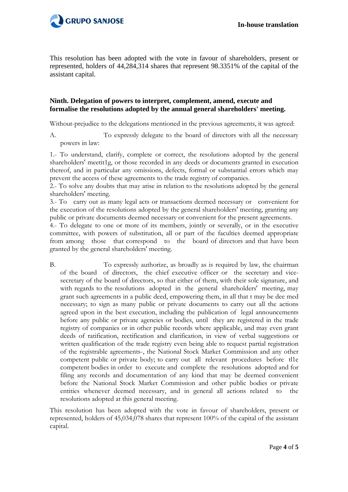

This resolution has been adopted with the vote in favour of shareholders, present or represented, holders of 44,284,314 shares that represent 98.3351% of the capital of the assistant capital.

## **Ninth. Delegation of powers to interpret, complement, amend, execute and formalise the resolutions adopted by the annual general shareholders' meeting.**

Without-prejudice to the delegations mentioned in the previous agreements, it was agreed:

A. To expressly delegate to the board of directors with all the necessary powers in law:

1.- To understand, clarify, complete or correct, the resolutions adopted by the general shareholders' meetit1g, or those recorded in any deeds or documents granted in execution thereof, and in particular any omissions, defects, formal or substantial errors which may prevent the access of these agreements to the trade registry of companies.

2.- To solve any doubts that may arise in relation to the resolutions adopted by the general shareholders' meeting.

3.- To carry out as many legal acts or transactions deemed necessary or convenient for the execution of the resolutions adopted by the general shareholders' meeting, granting any public or private documents deemed necessary or convenient for the present agreements.

4.- To delegate to one or more of its members, jointly or severally, or in the executive committee, with powers of substitution, all or part of the faculties deemed appropriate from among those that correspond to the board of directors and that have been granted by the general shareholders' meeting.

B. To expressly authorize, as broadly as is required by law, the chairman of the board of directors, the chief executive officer or the secretary and vicesecretary of the board of directors, so that either of them, with their sole signature, and with regards to the resolutions adopted in the general shareholders' meeting, may grant such agreements in a public deed, empowering them, in all that t may be dee med necessary; to sign as many public or private documents to carry out all the actions agreed upon in the best execution, including the publication of legal announcements before any public or private agencies or bodies, until they are registered in the trade registry of companies or in other public records where applicable, and may even grant deeds of ratification, rectification and clarification, in view of verbal suggestions or written qualification of the trade registry even being able to request partial registration of the registrable agreements-, the National Stock Market Commission and any other competent public or private body; to carry out all relevant procedures before tl1e competent bodies in order to execute and complete the resolutions adopted and for filing any records and documentation of any kind that may be deemed convenient before the National Stock Market Commission and other public bodies or private entities whenever deemed necessary, and in general all actions related to the resolutions adopted at this general meeting.

This resolution has been adopted with the vote in favour of shareholders, present or represented, holders of 45,034,078 shares that represent 100% of the capital of the assistant capital.